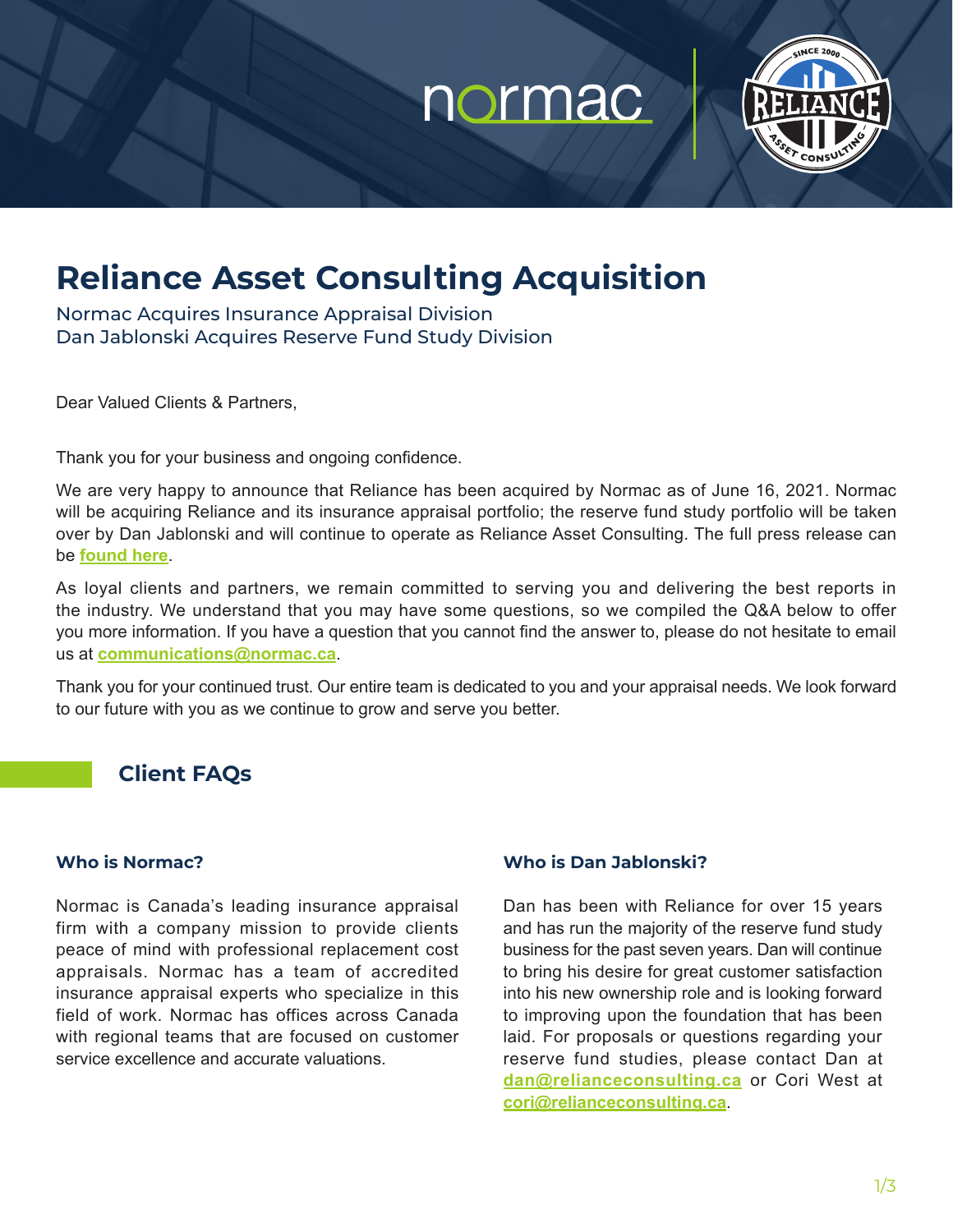# normac



## **Reliance Asset Consulting Acquisition**

Normac Acquires Insurance Appraisal Division Dan Jablonski Acquires Reserve Fund Study Division

Dear Valued Clients & Partners,

Thank you for your business and ongoing confidence.

We are very happy to announce that Reliance has been acquired by Normac as of June 16, 2021. Normac will be acquiring Reliance and its insurance appraisal portfolio; the reserve fund study portfolio will be taken over by Dan Jablonski and will continue to operate as Reliance Asset Consulting. The full press release can be **[found here](https://normac.ca/reliance-acquisition/)**.

As loyal clients and partners, we remain committed to serving you and delivering the best reports in the industry. We understand that you may have some questions, so we compiled the Q&A below to offer you more information. If you have a question that you cannot find the answer to, please do not hesitate to email us at **communications@normac.ca**.

Thank you for your continued trust. Our entire team is dedicated to you and your appraisal needs. We look forward to our future with you as we continue to grow and serve you better.

### **Client FAQs**

#### **Who is Normac?**

Normac is Canada's leading insurance appraisal firm with a company mission to provide clients peace of mind with professional replacement cost appraisals. Normac has a team of accredited insurance appraisal experts who specialize in this field of work. Normac has offices across Canada with regional teams that are focused on customer service excellence and accurate valuations.

#### **Who is Dan Jablonski?**

Dan has been with Reliance for over 15 years and has run the majority of the reserve fund study business for the past seven years. Dan will continue to bring his desire for great customer satisfaction into his new ownership role and is looking forward to improving upon the foundation that has been laid. For proposals or questions regarding your reserve fund studies, please contact Dan at **[dan@relianceconsulting.ca](mailto:dan%40relianceconsulting.ca?subject=)** or Cori West at **[cori@relianceconsulting.ca](mailto:cori%40relianceconsulting.ca?subject=)**.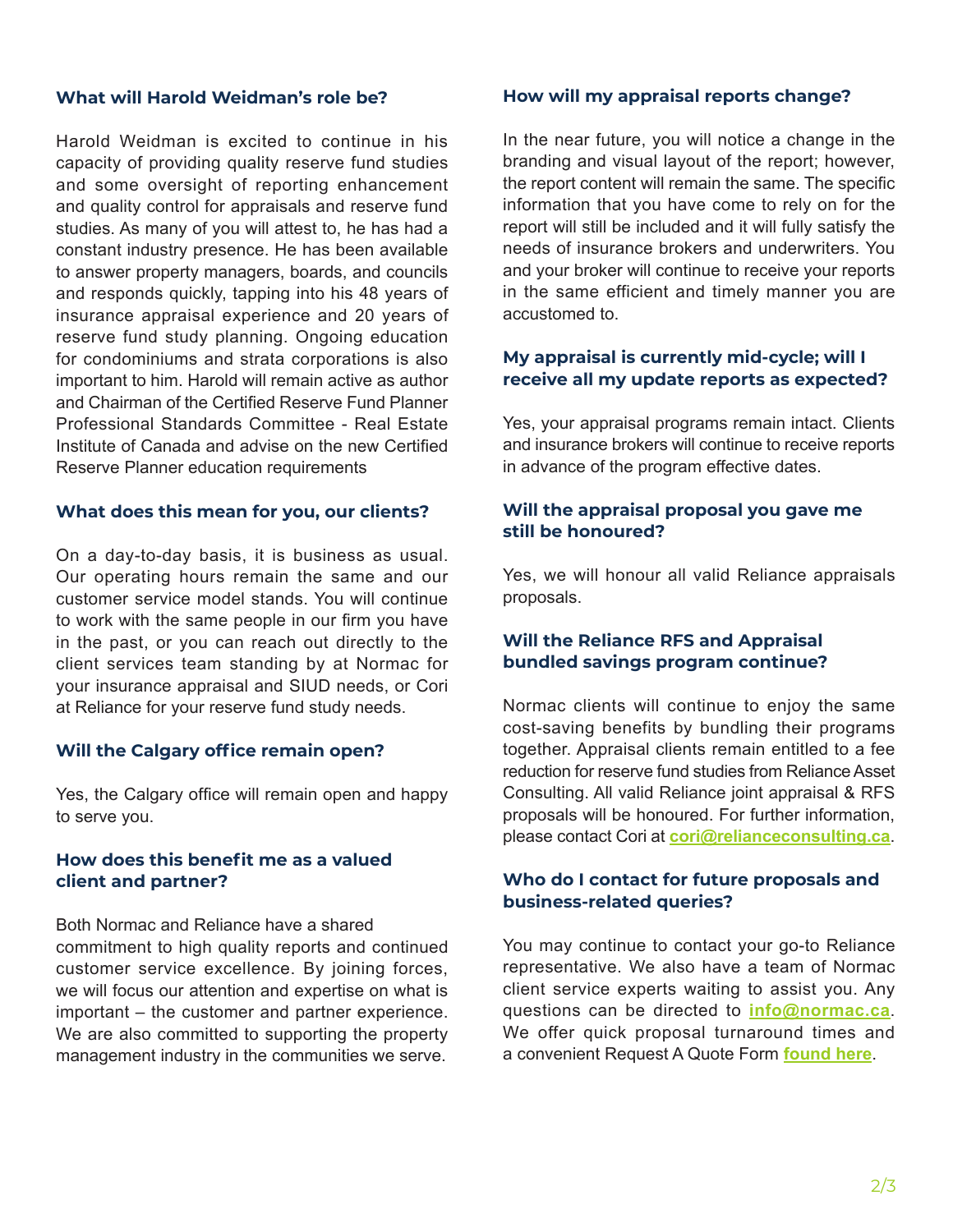#### **What will Harold Weidman's role be?**

Harold Weidman is excited to continue in his capacity of providing quality reserve fund studies and some oversight of reporting enhancement and quality control for appraisals and reserve fund studies. As many of you will attest to, he has had a constant industry presence. He has been available to answer property managers, boards, and councils and responds quickly, tapping into his 48 years of insurance appraisal experience and 20 years of reserve fund study planning. Ongoing education for condominiums and strata corporations is also important to him. Harold will remain active as author and Chairman of the Certified Reserve Fund Planner Professional Standards Committee - Real Estate Institute of Canada and advise on the new Certified Reserve Planner education requirements

#### **What does this mean for you, our clients?**

On a day-to-day basis, it is business as usual. Our operating hours remain the same and our customer service model stands. You will continue to work with the same people in our firm you have in the past, or you can reach out directly to the client services team standing by at Normac for your insurance appraisal and SIUD needs, or Cori at Reliance for your reserve fund study needs.

#### **Will the Calgary office remain open?**

Yes, the Calgary office will remain open and happy to serve you.

#### **How does this benefit me as a valued client and partner?**

Both Normac and Reliance have a shared commitment to high quality reports and continued customer service excellence. By joining forces, we will focus our attention and expertise on what is important – the customer and partner experience. We are also committed to supporting the property management industry in the communities we serve.

#### **How will my appraisal reports change?**

In the near future, you will notice a change in the branding and visual layout of the report; however, the report content will remain the same. The specific information that you have come to rely on for the report will still be included and it will fully satisfy the needs of insurance brokers and underwriters. You and your broker will continue to receive your reports in the same efficient and timely manner you are accustomed to.

#### **My appraisal is currently mid-cycle; will I receive all my update reports as expected?**

Yes, your appraisal programs remain intact. Clients and insurance brokers will continue to receive reports in advance of the program effective dates.

#### **Will the appraisal proposal you gave me still be honoured?**

Yes, we will honour all valid Reliance appraisals proposals.

#### **Will the Reliance RFS and Appraisal bundled savings program continue?**

Normac clients will continue to enjoy the same cost-saving benefits by bundling their programs together. Appraisal clients remain entitled to a fee reduction for reserve fund studies from Reliance Asset Consulting. All valid Reliance joint appraisal & RFS proposals will be honoured. For further information, please contact Cori at **[cori@relianceconsulting.ca](mailto:cori%40relianceconsulting.ca?subject=)**.

#### **Who do I contact for future proposals and business-related queries?**

You may continue to contact your go-to Reliance representative. We also have a team of Normac client service experts waiting to assist you. Any questions can be directed to **[info@normac.ca](mailto:info%40normac.ca?subject=)**. We offer quick proposal turnaround times and a convenient Request A Quote Form **[found here](http://www.normac.ca/request-a-quote)**.